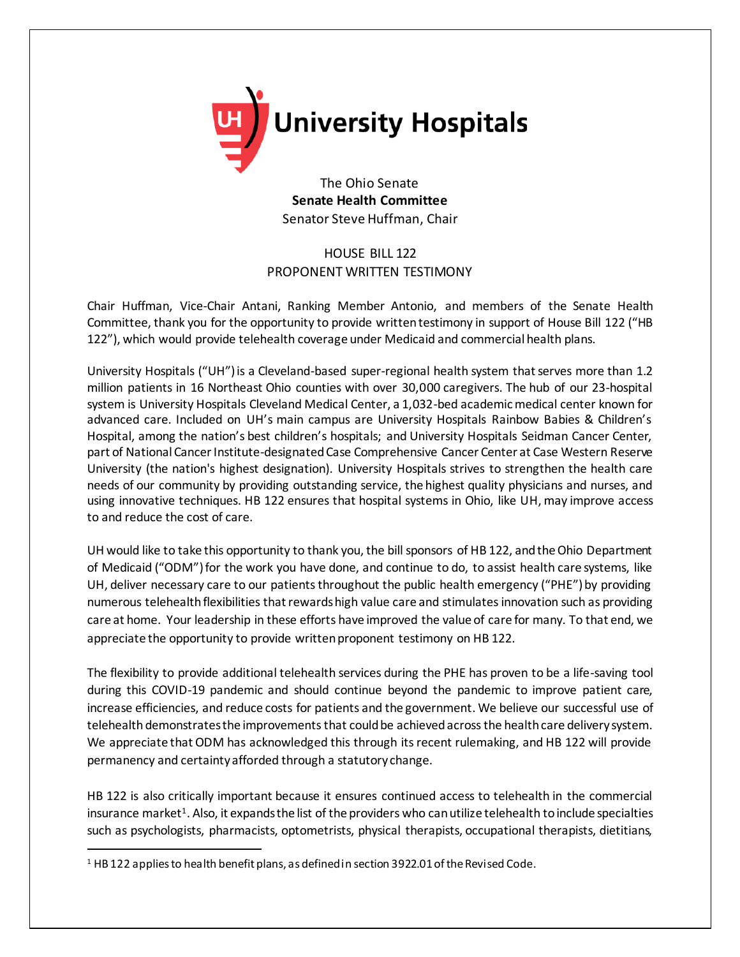

The Ohio Senate **Senate Health Committee** Senator Steve Huffman, Chair

## HOUSE BILL 122 PROPONENT WRITTEN TESTIMONY

Chair Huffman, Vice-Chair Antani, Ranking Member Antonio, and members of the Senate Health Committee, thank you for the opportunity to provide written testimony in support of House Bill 122 ("HB 122"), which would provide telehealth coverage under Medicaid and commercial health plans.

University Hospitals ("UH") is a Cleveland-based super-regional health system that serves more than 1.2 million patients in 16 Northeast Ohio counties with over 30,000 caregivers. The hub of our 23-hospital system is University Hospitals Cleveland Medical Center, a 1,032-bed academic medical center known for advanced care. Included on UH's main campus are University Hospitals Rainbow Babies & Children's Hospital, among the nation's best children's hospitals; and University Hospitals Seidman Cancer Center, part of National Cancer Institute-designated Case Comprehensive Cancer Center at Case Western Reserve University (the nation's highest designation). University Hospitals strives to strengthen the health care needs of our community by providing outstanding service, the highest quality physicians and nurses, and using innovative techniques. HB 122 ensures that hospital systems in Ohio, like UH, may improve access to and reduce the cost of care.

UH would like to take this opportunity to thank you, the bill sponsors of HB 122, and the Ohio Department of Medicaid ("ODM") for the work you have done, and continue to do, to assist health care systems, like UH, deliver necessary care to our patients throughout the public health emergency ("PHE") by providing numerous telehealth flexibilities that rewards high value care and stimulates innovation such as providing care at home. Your leadership in these efforts have improved the value of care for many. To that end, we appreciate the opportunity to provide written proponent testimony on HB 122.

The flexibility to provide additional telehealth services during the PHE has proven to be a life-saving tool during this COVID-19 pandemic and should continue beyond the pandemic to improve patient care, increase efficiencies, and reduce costs for patients and the government. We believe our successful use of telehealth demonstrates the improvements that could be achieved across the health care delivery system. We appreciate that ODM has acknowledged this through its recent rulemaking, and HB 122 will provide permanency and certainty afforded through a statutory change.

HB 122 is also critically important because it ensures continued access to telehealth in the commercial insurance market<sup>1</sup>. Also, it expands the list of the providers who can utilize telehealth to include specialties such as psychologists, pharmacists, optometrists, physical therapists, occupational therapists, dietitians,

l

<sup>&</sup>lt;sup>1</sup> HB 122 applies to health benefit plans, as defined in section 3922.01 of the Revised Code.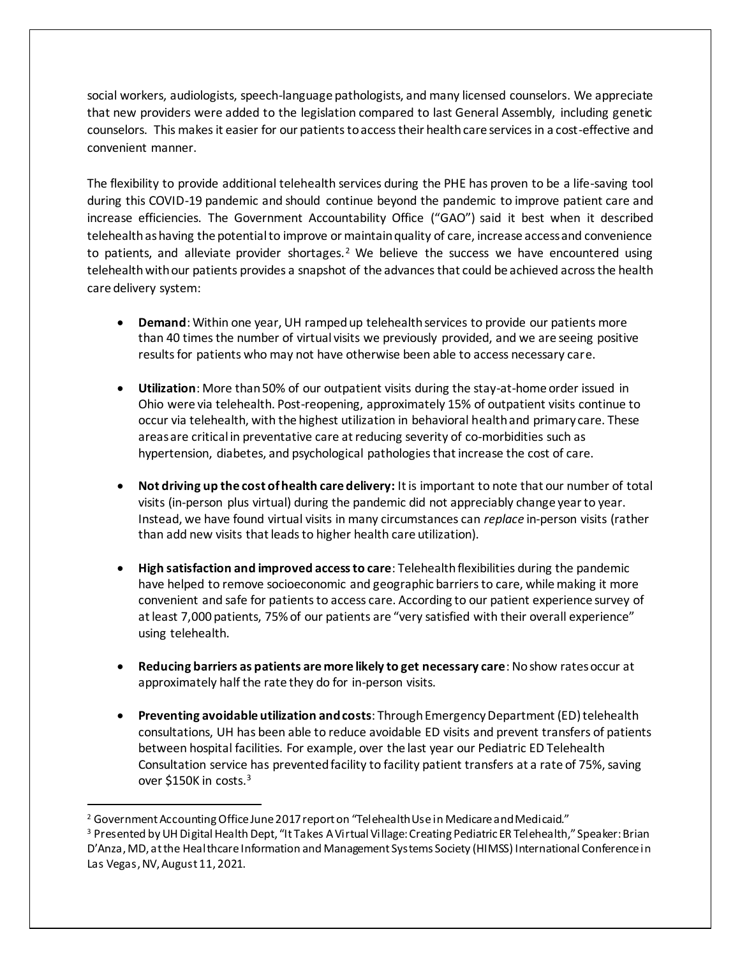social workers, audiologists, speech-language pathologists, and many licensed counselors. We appreciate that new providers were added to the legislation compared to last General Assembly, including genetic counselors. This makes it easier for our patients to access their health care services in a cost-effective and convenient manner.

The flexibility to provide additional telehealth services during the PHE has proven to be a life-saving tool during this COVID-19 pandemic and should continue beyond the pandemic to improve patient care and increase efficiencies. The Government Accountability Office ("GAO") said it best when it described telehealth as having the potential to improve or maintain quality of care, increase access and convenience to patients, and alleviate provider shortages.<sup>2</sup> We believe the success we have encountered using telehealthwith our patients provides a snapshot of the advances that could be achieved across the health care delivery system:

- **Demand**: Within one year, UH ramped up telehealth services to provide our patients more than 40 times the number of virtual visits we previously provided, and we are seeing positive results for patients who may not have otherwise been able to access necessary care.
- **Utilization**: More than 50% of our outpatient visits during the stay-at-home order issued in Ohio were via telehealth. Post-reopening, approximately 15% of outpatient visits continue to occur via telehealth, with the highest utilization in behavioral health and primary care. These areas are critical in preventative care at reducing severity of co-morbidities such as hypertension, diabetes, and psychological pathologies that increase the cost of care.
- **Not driving up the cost of health care delivery:** It is important to note that our number of total visits (in-person plus virtual) during the pandemic did not appreciably change year to year. Instead, we have found virtual visits in many circumstances can *replace* in-person visits (rather than add new visits that leads to higher health care utilization).
- **High satisfaction and improved access to care**: Telehealth flexibilities during the pandemic have helped to remove socioeconomic and geographic barriers to care, while making it more convenient and safe for patients to access care. According to our patient experience survey of at least 7,000 patients, 75% of our patients are "very satisfied with their overall experience" using telehealth.
- **Reducing barriers as patients are more likely to get necessary care**: No show rates occur at approximately half the rate they do for in-person visits.
- **Preventing avoidable utilization and costs**: Through Emergency Department (ED)telehealth consultations, UH has been able to reduce avoidable ED visits and prevent transfers of patients between hospital facilities. For example, over the last year our Pediatric ED Telehealth Consultation service has prevented facility to facility patient transfers at a rate of 75%, saving over \$150K in costs. 3

l

<sup>&</sup>lt;sup>2</sup> Government Accounting Office June 2017 report on "Telehealth Use in Medicare and Medicaid."

<sup>3</sup> Presented by UH Digital Health Dept, "It Takes A Virtual Village: Creating Pediatric ER Telehealth," Speaker: Brian D'Anza, MD, at the Healthcare Information and Management Systems Society (HIMSS) International Conference in Las Vegas, NV, August 11, 2021.